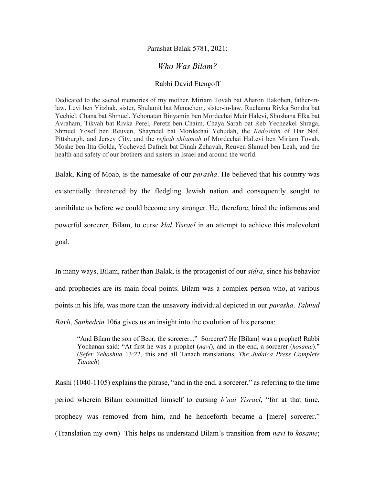## Parashat Balak 5781, 2021:

## *Who Was Bilam?*

## Rabbi David Etengoff

Dedicated to the sacred memories of my mother, Miriam Tovah bat Aharon Hakohen, father-inlaw, Levi ben Yitzhak, sister, Shulamit bat Menachem, sister-in-law, Ruchama Rivka Sondra bat Yechiel, Chana bat Shmuel, Yehonatan Binyamin ben Mordechai Meir Halevi, Shoshana Elka bat Avraham, Tikvah bat Rivka Perel, Peretz ben Chaim, Chaya Sarah bat Reb Yechezkel Shraga, Shmuel Yosef ben Reuven, Shayndel bat Mordechai Yehudah, the *Kedoshim* of Har Nof, Pittsburgh, and Jersey City, and the *refuah shlaimah* of Mordechai HaLevi ben Miriam Tovah, Moshe ben Itta Golda, Yocheved Dafneh bat Dinah Zehavah, Reuven Shmuel ben Leah, and the health and safety of our brothers and sisters in Israel and around the world.

Balak, King of Moab, is the namesake of our *parasha*. He believed that his country was existentially threatened by the fledgling Jewish nation and consequently sought to annihilate us before we could become any stronger. He, therefore, hired the infamous and powerful sorcerer, Bilam, to curse *klal Yisrael* in an attempt to achieve this malevolent goal.

In many ways, Bilam, rather than Balak, is the protagonist of our *sidra*, since his behavior and prophecies are its main focal points. Bilam was a complex person who, at various points in his life, was more than the unsavory individual depicted in our *parasha*. *Talmud Bavli*, *Sanhedrin* 106a gives us an insight into the evolution of his persona:

"And Bilam the son of Beor, the sorcerer..." Sorcerer? He [Bilam] was a prophet! Rabbi Yochanan said: "At first he was a prophet *(navi)*, and in the end, a sorcerer *(kosame)*." (*Sefer Yehoshua* 13:22, this and all Tanach translations, *The Judaica Press Complete Tanach*)

Rashi (1040-1105) explains the phrase, "and in the end, a sorcerer," as referring to the time period wherein Bilam committed himself to cursing *b'nai Yisrael*, "for at that time, prophecy was removed from him, and he henceforth became a [mere] sorcerer." (Translation my own) This helps us understand Bilam's transition from *navi* to *kosame*;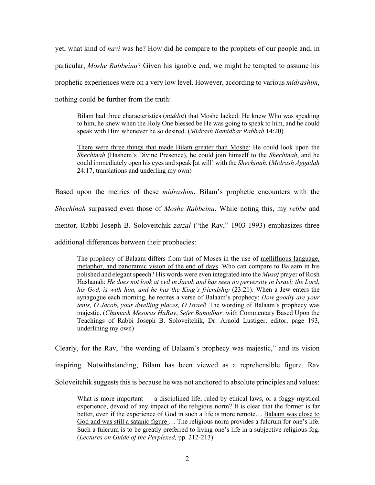yet, what kind of *navi* was he? How did he compare to the prophets of our people and, in particular, *Moshe Rabbeinu*? Given his ignoble end, we might be tempted to assume his prophetic experiences were on a very low level. However, according to various *midrashim*, nothing could be further from the truth:

Bilam had three characteristics (*middot*) that Moshe lacked: He knew Who was speaking to him, he knew when the Holy One blessed be He was going to speak to him, and he could speak with Him whenever he so desired. (*Midrash Bamidbar Rabbah* 14:20)

There were three things that made Bilam greater than Moshe: He could look upon the *Shechinah* (Hashem's Divine Presence), he could join himself to the *Shechinah*, and he could immediately open his eyes and speak [at will] with the *Shechinah*. (*Midrash Aggadah*  24:17, translations and underling my own)

Based upon the metrics of these *midrashim*, Bilam's prophetic encounters with the *Shechinah* surpassed even those of *Moshe Rabbeinu*. While noting this, my *rebbe* and mentor, Rabbi Joseph B. Soloveitchik *zatzal* ("the Rav," 1903-1993) emphasizes three additional differences between their prophecies:

The prophecy of Balaam differs from that of Moses in the use of mellifluous language, metaphor, and panoramic vision of the end of days. Who can compare to Balaam in his polished and elegant speech? His words were even integrated into the *Musaf* prayer of Rosh Hashanah: *He does not look at evil in Jacob and has seen no perversity in Israel; the Lord, his God, is with him, and he has the King's friendship* (23:21). When a Jew enters the synagogue each morning, he recites a verse of Balaam's prophecy: *How goodly are your tents, O Jacob, your dwelling places, O Israel*! The wording of Balaam's prophecy was majestic. (*Chumash Mesoras HaRav*, *Sefer Bamidbar*: with Commentary Based Upon the Teachings of Rabbi Joseph B. Soloveitchik, Dr. Arnold Lustiger, editor, page 193, underlining my own)

Clearly, for the Rav, "the wording of Balaam's prophecy was majestic," and its vision inspiring. Notwithstanding, Bilam has been viewed as a reprehensible figure. Rav Soloveitchik suggests this is because he was not anchored to absolute principles and values:

What is more important — a disciplined life, ruled by ethical laws, or a foggy mystical experience, devoid of any impact of the religious norm? It is clear that the former is far better, even if the experience of God in such a life is more remote… Balaam was close to God and was still a satanic figure … The religious norm provides a fulcrum for one's life. Such a fulcrum is to be greatly preferred to living one's life in a subjective religious fog. (*Lectures on Guide of the Perplexed,* pp. 212-213)